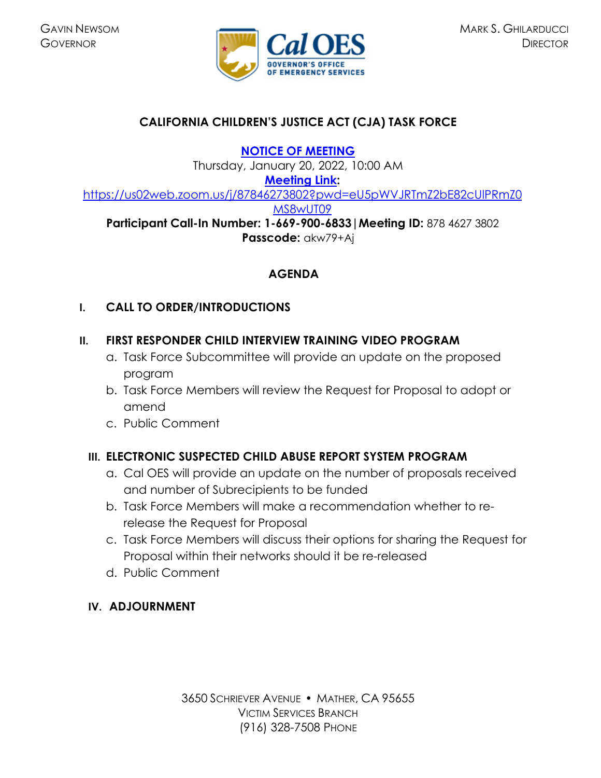

## **CALIFORNIA CHILDREN'S JUSTICE ACT (CJA) TASK FORCE**

**[NOTICE OF MEETING](https://www.caloes.ca.gov/cal-oes-divisions/grants-management/victim-services/meeting-public-notices)** 

Thursday, January 20, 2022, 10:00 AM

**[Meeting Link:](https://us02web.zoom.us/j/87267284053?pwd=d2NHcThmejBKbitqMCtYRzlMNEdPUT09)** 

[https://us02web.zoom.us/j/87846273802?pwd=eU5pWVJRTmZ2bE82cUlPRmZ0](https://us02web.zoom.us/j/87846273802?pwd=eU5pWVJRTmZ2bE82cUlPRmZ0MS8wUT09)

[MS8wUT09](https://us02web.zoom.us/j/87846273802?pwd=eU5pWVJRTmZ2bE82cUlPRmZ0MS8wUT09)

**Participant Call-In Number: 1-669-900-6833|Meeting ID:** 878 4627 3802 **Passcode:** akw79+Aj

# **AGENDA**

### **I. CALL TO ORDER/INTRODUCTIONS**

## **II. FIRST RESPONDER CHILD INTERVIEW TRAINING VIDEO PROGRAM**

- a. Task Force Subcommittee will provide an update on the proposed program
- b. Task Force Members will review the Request for Proposal to adopt or amend
- c. Public Comment

## **III. ELECTRONIC SUSPECTED CHILD ABUSE REPORT SYSTEM PROGRAM**

- a. Cal OES will provide an update on the number of proposals received and number of Subrecipients to be funded
- b. Task Force Members will make a recommendation whether to rerelease the Request for Proposal
- c. Task Force Members will discuss their options for sharing the Request for Proposal within their networks should it be re-released
- d. Public Comment

## **IV. ADJOURNMENT**

3650 SCHRIEVER AVENUE MATHER, CA 95655 VICTIM SERVICES BRANCH (916) 328-7508 PHONE